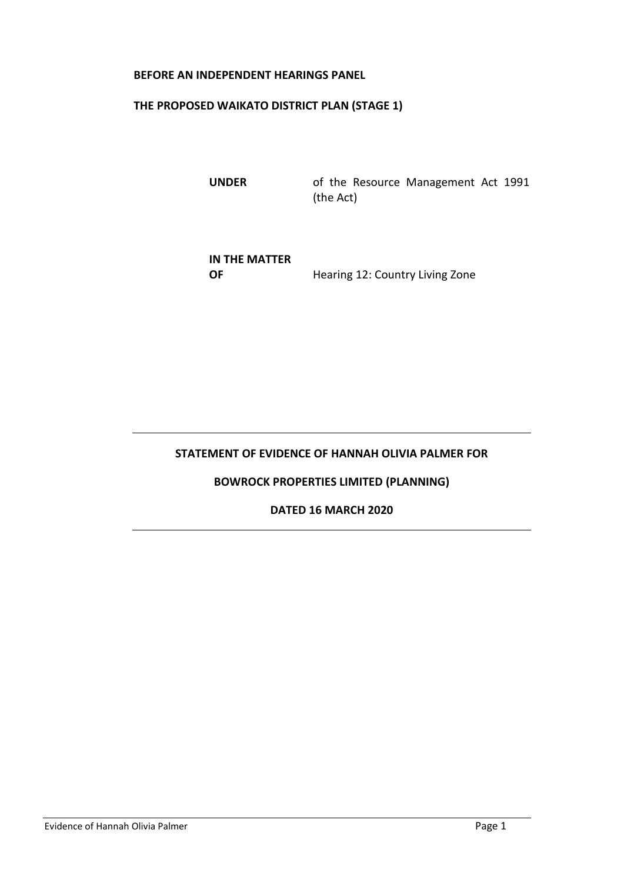#### **BEFORE AN INDEPENDENT HEARINGS PANEL**

### **THE PROPOSED WAIKATO DISTRICT PLAN (STAGE 1)**

**UNDER** of the Resource Management Act 1991 (the Act)

**IN THE MATTER OF** Hearing 12: Country Living Zone

# **STATEMENT OF EVIDENCE OF HANNAH OLIVIA PALMER FOR**

#### **BOWROCK PROPERTIES LIMITED (PLANNING)**

### **DATED 16 MARCH 2020**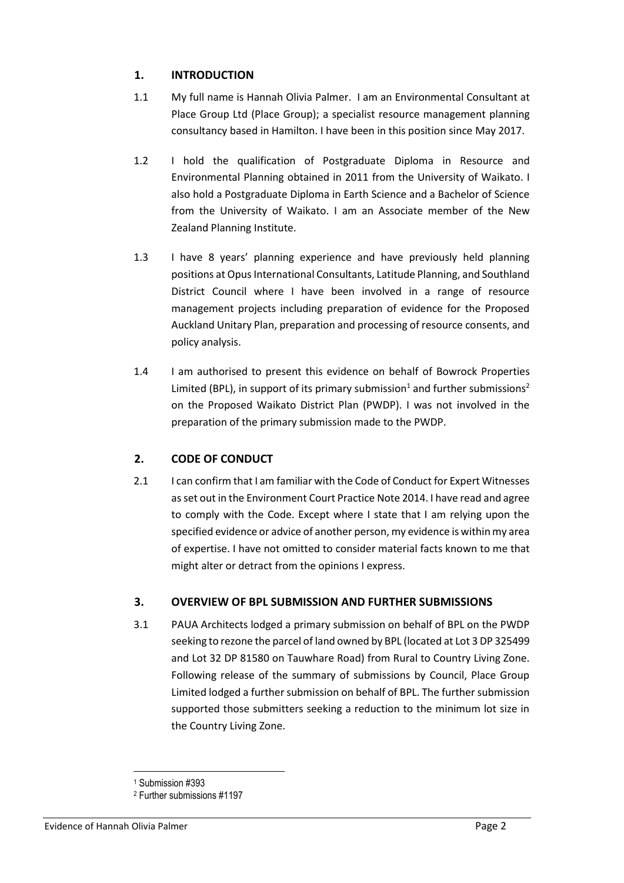# **1. INTRODUCTION**

- 1.1 My full name is Hannah Olivia Palmer. I am an Environmental Consultant at Place Group Ltd (Place Group); a specialist resource management planning consultancy based in Hamilton. I have been in this position since May 2017.
- 1.2 I hold the qualification of Postgraduate Diploma in Resource and Environmental Planning obtained in 2011 from the University of Waikato. I also hold a Postgraduate Diploma in Earth Science and a Bachelor of Science from the University of Waikato. I am an Associate member of the New Zealand Planning Institute.
- 1.3 I have 8 years' planning experience and have previously held planning positions at Opus International Consultants, Latitude Planning, and Southland District Council where I have been involved in a range of resource management projects including preparation of evidence for the Proposed Auckland Unitary Plan, preparation and processing of resource consents, and policy analysis.
- 1.4 I am authorised to present this evidence on behalf of Bowrock Properties Limited (BPL), in support of its primary submission<sup>1</sup> and further submissions<sup>2</sup> on the Proposed Waikato District Plan (PWDP). I was not involved in the preparation of the primary submission made to the PWDP.

# **2. CODE OF CONDUCT**

2.1 I can confirm that I am familiar with the Code of Conduct for Expert Witnesses as set out in the Environment Court Practice Note 2014. I have read and agree to comply with the Code. Except where I state that I am relying upon the specified evidence or advice of another person, my evidence is within my area of expertise. I have not omitted to consider material facts known to me that might alter or detract from the opinions I express.

# **3. OVERVIEW OF BPL SUBMISSION AND FURTHER SUBMISSIONS**

3.1 PAUA Architects lodged a primary submission on behalf of BPL on the PWDP seeking to rezone the parcel of land owned by BPL (located at Lot 3 DP 325499 and Lot 32 DP 81580 on Tauwhare Road) from Rural to Country Living Zone. Following release of the summary of submissions by Council, Place Group Limited lodged a further submission on behalf of BPL. The further submission supported those submitters seeking a reduction to the minimum lot size in the Country Living Zone.

<sup>1</sup> Submission #393

<sup>2</sup> Further submissions #1197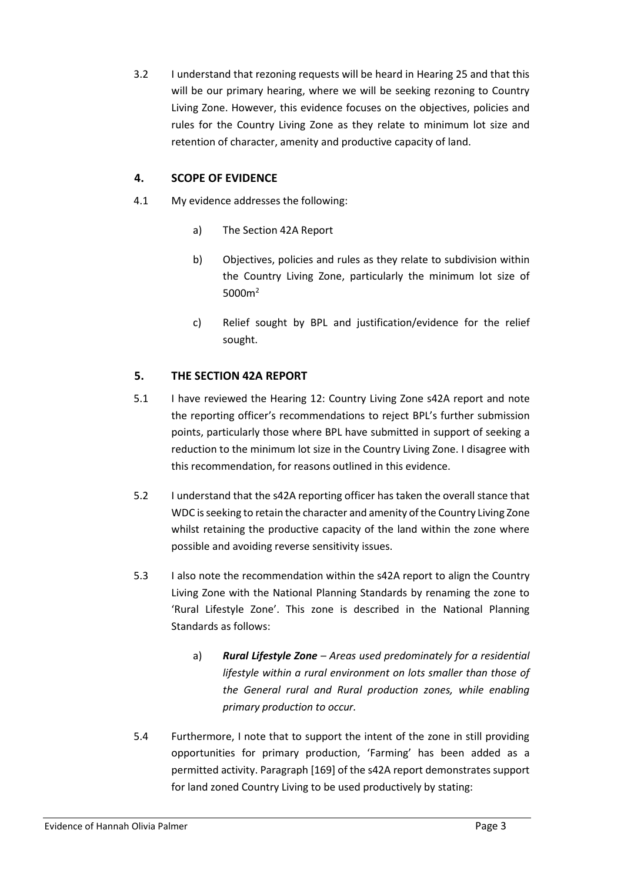3.2 I understand that rezoning requests will be heard in Hearing 25 and that this will be our primary hearing, where we will be seeking rezoning to Country Living Zone. However, this evidence focuses on the objectives, policies and rules for the Country Living Zone as they relate to minimum lot size and retention of character, amenity and productive capacity of land.

### **4. SCOPE OF EVIDENCE**

- 4.1 My evidence addresses the following:
	- a) The Section 42A Report
	- b) Objectives, policies and rules as they relate to subdivision within the Country Living Zone, particularly the minimum lot size of 5000m<sup>2</sup>
	- c) Relief sought by BPL and justification/evidence for the relief sought.

### **5. THE SECTION 42A REPORT**

- 5.1 I have reviewed the Hearing 12: Country Living Zone s42A report and note the reporting officer's recommendations to reject BPL's further submission points, particularly those where BPL have submitted in support of seeking a reduction to the minimum lot size in the Country Living Zone. I disagree with this recommendation, for reasons outlined in this evidence.
- 5.2 I understand that the s42A reporting officer has taken the overall stance that WDC is seeking to retain the character and amenity of the Country Living Zone whilst retaining the productive capacity of the land within the zone where possible and avoiding reverse sensitivity issues.
- 5.3 I also note the recommendation within the s42A report to align the Country Living Zone with the National Planning Standards by renaming the zone to 'Rural Lifestyle Zone'. This zone is described in the National Planning Standards as follows:
	- a) *Rural Lifestyle Zone – Areas used predominately for a residential lifestyle within a rural environment on lots smaller than those of the General rural and Rural production zones, while enabling primary production to occur.*
- 5.4 Furthermore, I note that to support the intent of the zone in still providing opportunities for primary production, 'Farming' has been added as a permitted activity. Paragraph [169] of the s42A report demonstrates support for land zoned Country Living to be used productively by stating: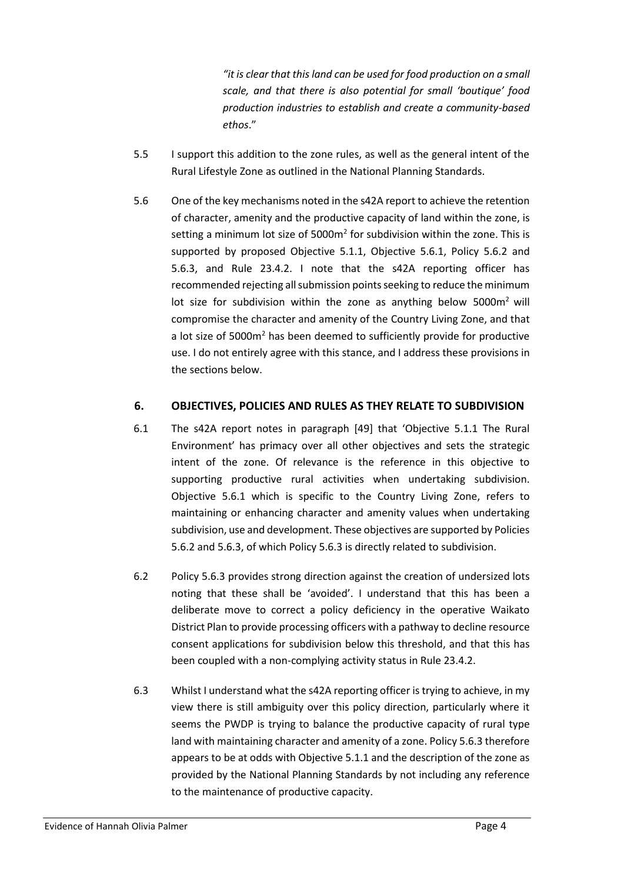*"it is clear that this land can be used for food production on a small scale, and that there is also potential for small 'boutique' food production industries to establish and create a community-based ethos*."

- 5.5 I support this addition to the zone rules, as well as the general intent of the Rural Lifestyle Zone as outlined in the National Planning Standards.
- 5.6 One of the key mechanisms noted in the s42A report to achieve the retention of character, amenity and the productive capacity of land within the zone, is setting a minimum lot size of  $5000m^2$  for subdivision within the zone. This is supported by proposed Objective 5.1.1, Objective 5.6.1, Policy 5.6.2 and 5.6.3, and Rule 23.4.2. I note that the s42A reporting officer has recommended rejecting all submission points seeking to reduce the minimum lot size for subdivision within the zone as anything below  $5000m^2$  will compromise the character and amenity of the Country Living Zone, and that a lot size of 5000m<sup>2</sup> has been deemed to sufficiently provide for productive use. I do not entirely agree with this stance, and I address these provisions in the sections below.

### **6. OBJECTIVES, POLICIES AND RULES AS THEY RELATE TO SUBDIVISION**

- 6.1 The s42A report notes in paragraph [49] that 'Objective 5.1.1 The Rural Environment' has primacy over all other objectives and sets the strategic intent of the zone. Of relevance is the reference in this objective to supporting productive rural activities when undertaking subdivision. Objective 5.6.1 which is specific to the Country Living Zone, refers to maintaining or enhancing character and amenity values when undertaking subdivision, use and development. These objectives are supported by Policies 5.6.2 and 5.6.3, of which Policy 5.6.3 is directly related to subdivision.
- 6.2 Policy 5.6.3 provides strong direction against the creation of undersized lots noting that these shall be 'avoided'. I understand that this has been a deliberate move to correct a policy deficiency in the operative Waikato District Plan to provide processing officers with a pathway to decline resource consent applications for subdivision below this threshold, and that this has been coupled with a non-complying activity status in Rule 23.4.2.
- 6.3 Whilst I understand what the s42A reporting officer is trying to achieve, in my view there is still ambiguity over this policy direction, particularly where it seems the PWDP is trying to balance the productive capacity of rural type land with maintaining character and amenity of a zone. Policy 5.6.3 therefore appears to be at odds with Objective 5.1.1 and the description of the zone as provided by the National Planning Standards by not including any reference to the maintenance of productive capacity.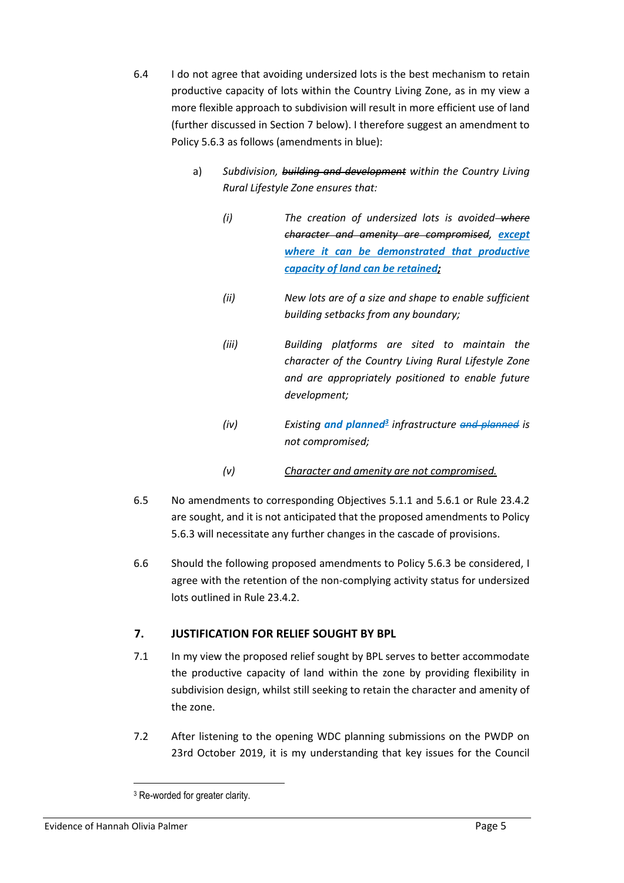- 6.4 I do not agree that avoiding undersized lots is the best mechanism to retain productive capacity of lots within the Country Living Zone, as in my view a more flexible approach to subdivision will result in more efficient use of land (further discussed in Section 7 below). I therefore suggest an amendment to Policy 5.6.3 as follows (amendments in blue):
	- a) *Subdivision, building and development within the Country Living Rural Lifestyle Zone ensures that:*
		- *(i) The creation of undersized lots is avoided where character and amenity are compromised, except where it can be demonstrated that productive capacity of land can be retained;*
		- *(ii) New lots are of a size and shape to enable sufficient building setbacks from any boundary;*
		- *(iii) Building platforms are sited to maintain the character of the Country Living Rural Lifestyle Zone and are appropriately positioned to enable future development;*
		- *(iv) Existing and planned<sup>3</sup> infrastructure and planned is not compromised;*
		- *(v) Character and amenity are not compromised.*
- 6.5 No amendments to corresponding Objectives 5.1.1 and 5.6.1 or Rule 23.4.2 are sought, and it is not anticipated that the proposed amendments to Policy 5.6.3 will necessitate any further changes in the cascade of provisions.
- 6.6 Should the following proposed amendments to Policy 5.6.3 be considered, I agree with the retention of the non-complying activity status for undersized lots outlined in Rule 23.4.2.

# **7. JUSTIFICATION FOR RELIEF SOUGHT BY BPL**

- 7.1 In my view the proposed relief sought by BPL serves to better accommodate the productive capacity of land within the zone by providing flexibility in subdivision design, whilst still seeking to retain the character and amenity of the zone.
- 7.2 After listening to the opening WDC planning submissions on the PWDP on 23rd October 2019, it is my understanding that key issues for the Council

<sup>&</sup>lt;sup>3</sup> Re-worded for greater clarity.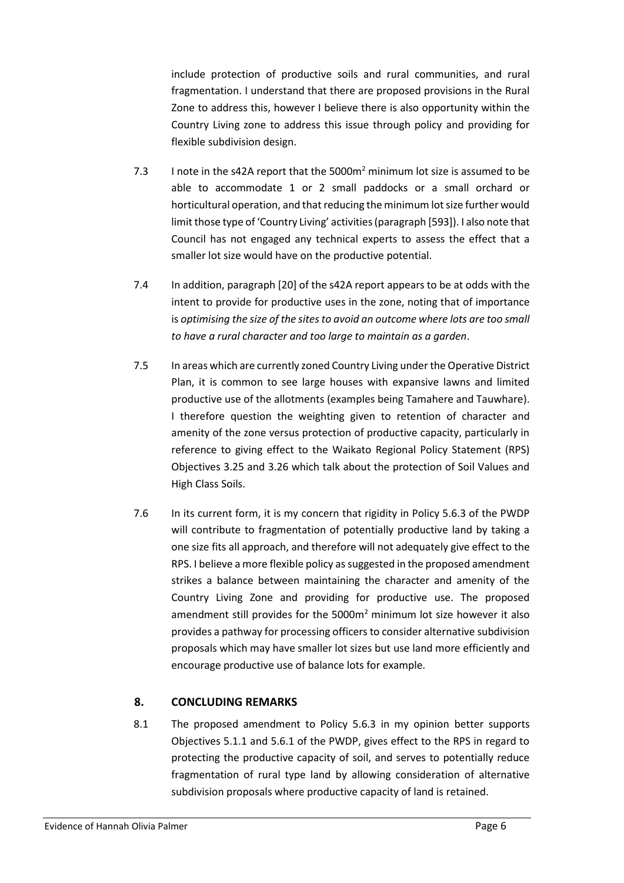include protection of productive soils and rural communities, and rural fragmentation. I understand that there are proposed provisions in the Rural Zone to address this, however I believe there is also opportunity within the Country Living zone to address this issue through policy and providing for flexible subdivision design.

- 7.3 I note in the s42A report that the 5000 $m<sup>2</sup>$  minimum lot size is assumed to be able to accommodate 1 or 2 small paddocks or a small orchard or horticultural operation, and that reducing the minimum lot size further would limit those type of 'Country Living' activities (paragraph [593]). I also note that Council has not engaged any technical experts to assess the effect that a smaller lot size would have on the productive potential.
- 7.4 In addition, paragraph [20] of the s42A report appears to be at odds with the intent to provide for productive uses in the zone, noting that of importance is *optimising the size of the sites to avoid an outcome where lots are too small to have a rural character and too large to maintain as a garden*.
- 7.5 In areas which are currently zoned Country Living under the Operative District Plan, it is common to see large houses with expansive lawns and limited productive use of the allotments (examples being Tamahere and Tauwhare). I therefore question the weighting given to retention of character and amenity of the zone versus protection of productive capacity, particularly in reference to giving effect to the Waikato Regional Policy Statement (RPS) Objectives 3.25 and 3.26 which talk about the protection of Soil Values and High Class Soils.
- 7.6 In its current form, it is my concern that rigidity in Policy 5.6.3 of the PWDP will contribute to fragmentation of potentially productive land by taking a one size fits all approach, and therefore will not adequately give effect to the RPS. I believe a more flexible policy as suggested in the proposed amendment strikes a balance between maintaining the character and amenity of the Country Living Zone and providing for productive use. The proposed amendment still provides for the  $5000m<sup>2</sup>$  minimum lot size however it also provides a pathway for processing officers to consider alternative subdivision proposals which may have smaller lot sizes but use land more efficiently and encourage productive use of balance lots for example.

#### **8. CONCLUDING REMARKS**

8.1 The proposed amendment to Policy 5.6.3 in my opinion better supports Objectives 5.1.1 and 5.6.1 of the PWDP, gives effect to the RPS in regard to protecting the productive capacity of soil, and serves to potentially reduce fragmentation of rural type land by allowing consideration of alternative subdivision proposals where productive capacity of land is retained.